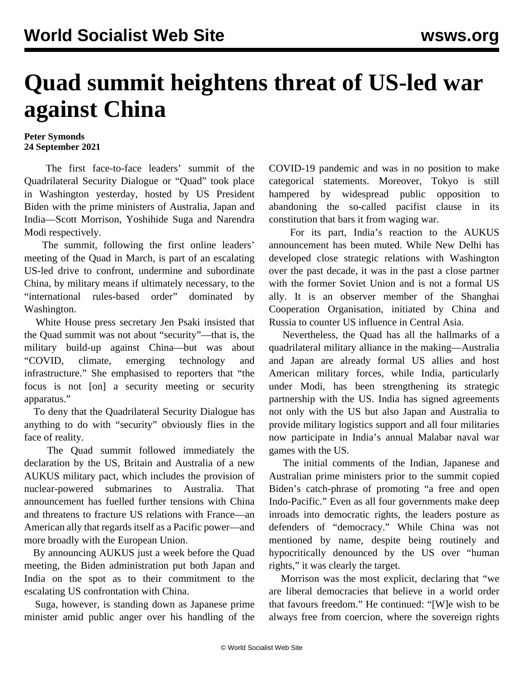## **Quad summit heightens threat of US-led war against China**

## **Peter Symonds 24 September 2021**

 The first face-to-face leaders' summit of the Quadrilateral Security Dialogue or "Quad" took place in Washington yesterday, hosted by US President Biden with the prime ministers of Australia, Japan and India—Scott Morrison, Yoshihide Suga and Narendra Modi respectively.

 The summit, following the first online leaders' meeting of the Quad in March, is part of an escalating US-led drive to confront, undermine and subordinate China, by military means if ultimately necessary, to the "international rules-based order" dominated by Washington.

 White House press secretary Jen Psaki insisted that the Quad summit was not about "security"—that is, the military build-up against China—but was about "COVID, climate, emerging technology and infrastructure." She emphasised to reporters that "the focus is not [on] a security meeting or security apparatus."

 To deny that the Quadrilateral Security Dialogue has anything to do with "security" obviously flies in the face of reality.

 The Quad summit followed immediately the declaration by the US, Britain and Australia of a new AUKUS military pact, which includes the provision of nuclear-powered submarines to Australia. That announcement has fuelled further tensions with China and threatens to fracture US relations with France—an American ally that regards itself as a Pacific power—and more broadly with the European Union.

 By announcing AUKUS just a week before the Quad meeting, the Biden administration put both Japan and India on the spot as to their commitment to the escalating US confrontation with China.

 Suga, however, is standing down as Japanese prime minister amid public anger over his handling of the COVID-19 pandemic and was in no position to make categorical statements. Moreover, Tokyo is still hampered by widespread public opposition to abandoning the so-called pacifist clause in its constitution that bars it from waging war.

 For its part, India's reaction to the AUKUS announcement has been muted. While New Delhi has developed close strategic relations with Washington over the past decade, it was in the past a close partner with the former Soviet Union and is not a formal US ally. It is an observer member of the Shanghai Cooperation Organisation, initiated by China and Russia to counter US influence in Central Asia.

 Nevertheless, the Quad has all the hallmarks of a quadrilateral military alliance in the making—Australia and Japan are already formal US allies and host American military forces, while India, particularly under Modi, has been strengthening its strategic partnership with the US. India has signed agreements not only with the US but also Japan and Australia to provide military logistics support and all four militaries now participate in India's annual Malabar naval war games with the US.

 The initial comments of the Indian, Japanese and Australian prime ministers prior to the summit copied Biden's catch-phrase of promoting "a free and open Indo-Pacific." Even as all four governments make deep inroads into democratic rights, the leaders posture as defenders of "democracy." While China was not mentioned by name, despite being routinely and hypocritically denounced by the US over "human rights," it was clearly the target.

 Morrison was the most explicit, declaring that "we are liberal democracies that believe in a world order that favours freedom." He continued: "[W]e wish to be always free from coercion, where the sovereign rights